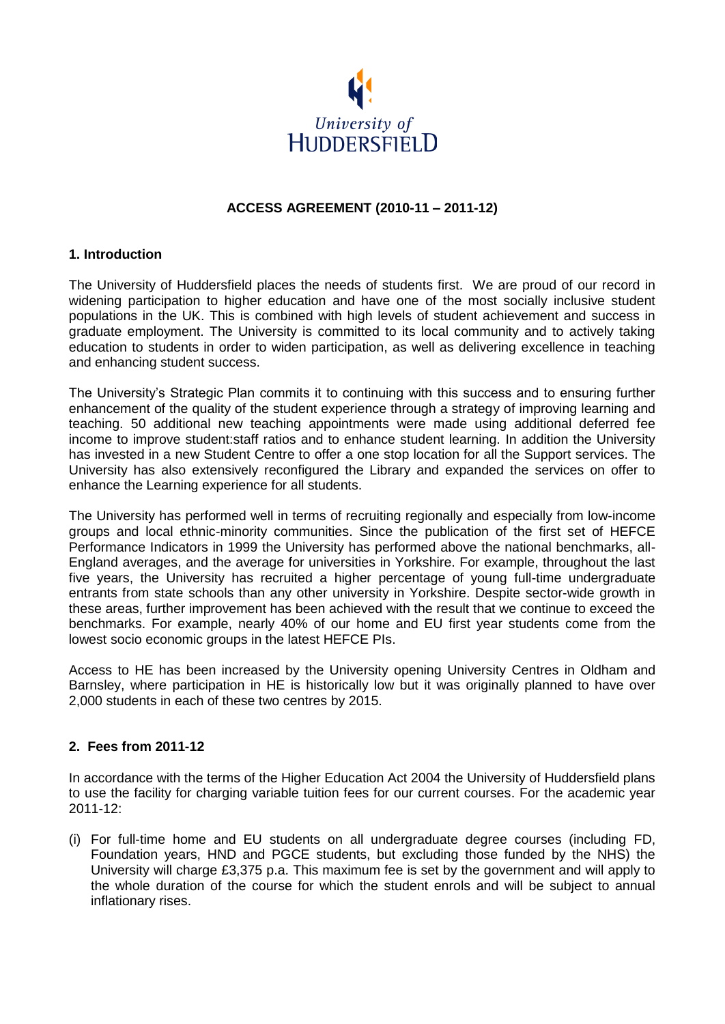

## **ACCESS AGREEMENT (2010-11 – 2011-12)**

### **1. Introduction**

The University of Huddersfield places the needs of students first. We are proud of our record in widening participation to higher education and have one of the most socially inclusive student populations in the UK. This is combined with high levels of student achievement and success in graduate employment. The University is committed to its local community and to actively taking education to students in order to widen participation, as well as delivering excellence in teaching and enhancing student success.

The University's Strategic Plan commits it to continuing with this success and to ensuring further enhancement of the quality of the student experience through a strategy of improving learning and teaching. 50 additional new teaching appointments were made using additional deferred fee income to improve student:staff ratios and to enhance student learning. In addition the University has invested in a new Student Centre to offer a one stop location for all the Support services. The University has also extensively reconfigured the Library and expanded the services on offer to enhance the Learning experience for all students.

The University has performed well in terms of recruiting regionally and especially from low-income groups and local ethnic-minority communities. Since the publication of the first set of HEFCE Performance Indicators in 1999 the University has performed above the national benchmarks, all-England averages, and the average for universities in Yorkshire. For example, throughout the last five years, the University has recruited a higher percentage of young full-time undergraduate entrants from state schools than any other university in Yorkshire. Despite sector-wide growth in these areas, further improvement has been achieved with the result that we continue to exceed the benchmarks. For example, nearly 40% of our home and EU first year students come from the lowest socio economic groups in the latest HEFCE PIs.

Access to HE has been increased by the University opening University Centres in Oldham and Barnsley, where participation in HE is historically low but it was originally planned to have over 2,000 students in each of these two centres by 2015.

### **2. Fees from 2011-12**

In accordance with the terms of the Higher Education Act 2004 the University of Huddersfield plans to use the facility for charging variable tuition fees for our current courses. For the academic year 2011-12:

(i) For full-time home and EU students on all undergraduate degree courses (including FD, Foundation years, HND and PGCE students, but excluding those funded by the NHS) the University will charge £3,375 p.a. This maximum fee is set by the government and will apply to the whole duration of the course for which the student enrols and will be subject to annual inflationary rises.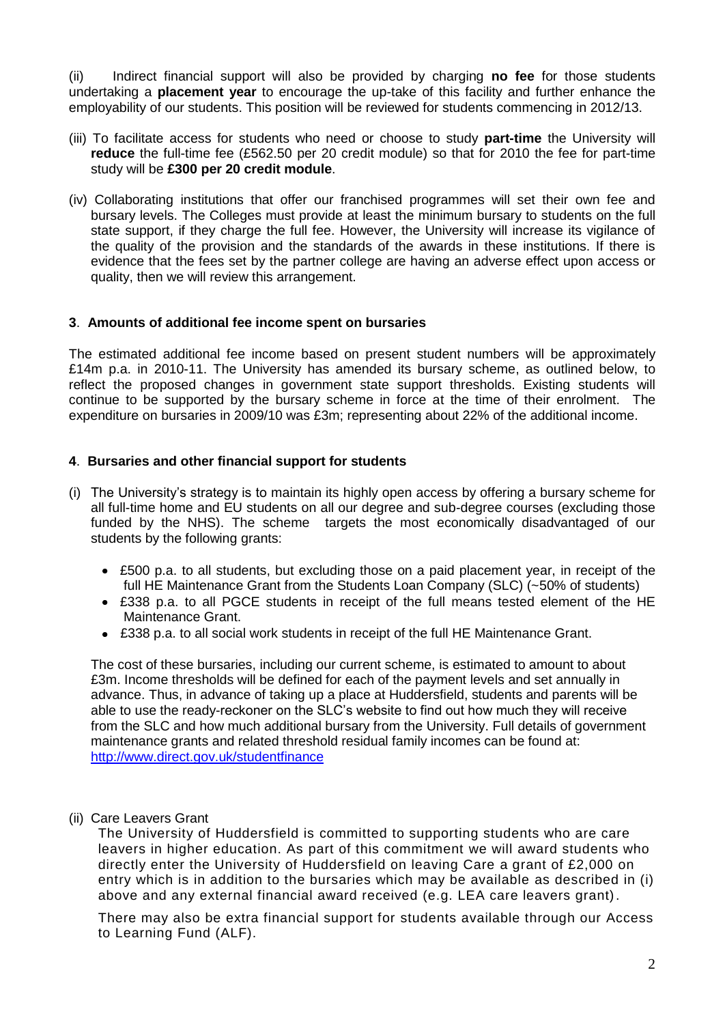(ii) Indirect financial support will also be provided by charging **no fee** for those students undertaking a **placement year** to encourage the up-take of this facility and further enhance the employability of our students. This position will be reviewed for students commencing in 2012/13.

- (iii) To facilitate access for students who need or choose to study **part-time** the University will **reduce** the full-time fee (£562.50 per 20 credit module) so that for 2010 the fee for part-time study will be **£300 per 20 credit module**.
- (iv) Collaborating institutions that offer our franchised programmes will set their own fee and bursary levels. The Colleges must provide at least the minimum bursary to students on the full state support, if they charge the full fee. However, the University will increase its vigilance of the quality of the provision and the standards of the awards in these institutions. If there is evidence that the fees set by the partner college are having an adverse effect upon access or quality, then we will review this arrangement.

## **3**. **Amounts of additional fee income spent on bursaries**

The estimated additional fee income based on present student numbers will be approximately £14m p.a. in 2010-11. The University has amended its bursary scheme, as outlined below, to reflect the proposed changes in government state support thresholds. Existing students will continue to be supported by the bursary scheme in force at the time of their enrolment. The expenditure on bursaries in 2009/10 was £3m; representing about 22% of the additional income.

## **4**. **Bursaries and other financial support for students**

- (i) The University's strategy is to maintain its highly open access by offering a bursary scheme for all full-time home and EU students on all our degree and sub-degree courses (excluding those funded by the NHS). The scheme targets the most economically disadvantaged of our students by the following grants:
	- £500 p.a. to all students, but excluding those on a paid placement year, in receipt of the full HE Maintenance Grant from the Students Loan Company (SLC) (~50% of students)
	- £338 p.a. to all PGCE students in receipt of the full means tested element of the HE Maintenance Grant.
	- £338 p.a. to all social work students in receipt of the full HE Maintenance Grant.

The cost of these bursaries, including our current scheme, is estimated to amount to about £3m. Income thresholds will be defined for each of the payment levels and set annually in advance. Thus, in advance of taking up a place at Huddersfield, students and parents will be able to use the ready-reckoner on the SLC's website to find out how much they will receive from the SLC and how much additional bursary from the University. Full details of government maintenance grants and related threshold residual family incomes can be found at: <http://www.direct.gov.uk/studentfinance>

(ii) Care Leavers Grant

The University of Huddersfield is committed to supporting students who are care leavers in higher education. As part of this commitment we will award students who directly enter the University of Huddersfield on leaving Care a grant of £2,000 on entry which is in addition to the bursaries which may be available as described in (i) above and any external financial award received (e.g. LEA care leavers grant).

There may also be extra financial support for students available through our [Access](http://www.brad.ac.uk/external/tuitionfees/support/alf.php)  [to Learning Fund](http://www.brad.ac.uk/external/tuitionfees/support/alf.php) (ALF).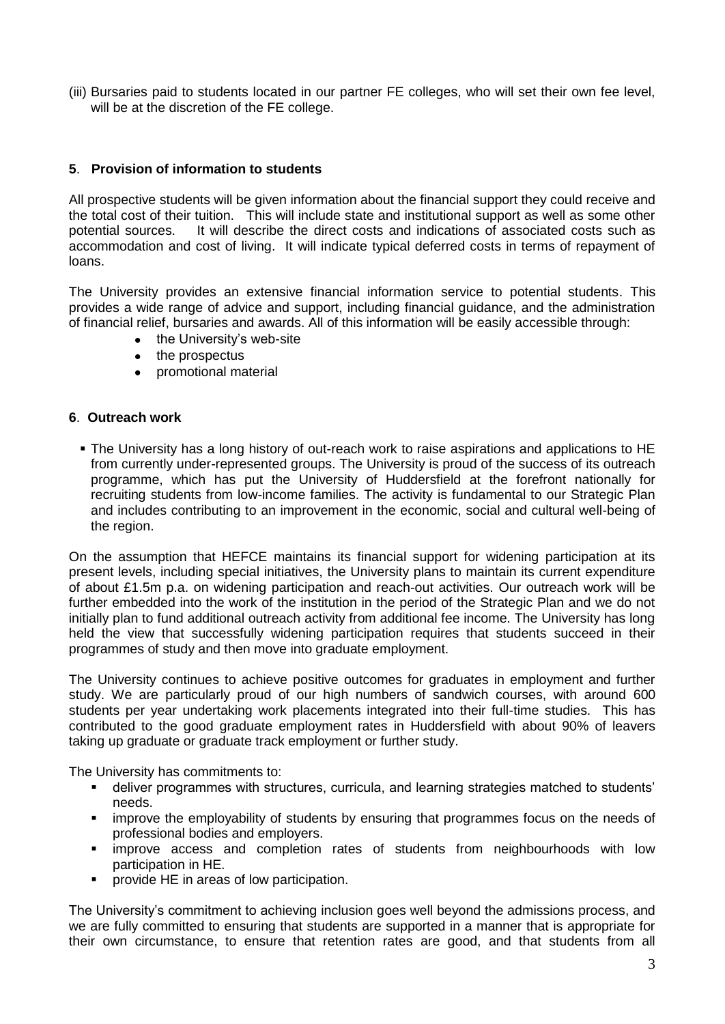(iii) Bursaries paid to students located in our partner FE colleges, who will set their own fee level, will be at the discretion of the FE college.

# **5**. **Provision of information to students**

All prospective students will be given information about the financial support they could receive and the total cost of their tuition. This will include state and institutional support as well as some other potential sources. It will describe the direct costs and indications of associated costs such as accommodation and cost of living. It will indicate typical deferred costs in terms of repayment of loans.

The University provides an extensive financial information service to potential students. This provides a wide range of advice and support, including financial guidance, and the administration of financial relief, bursaries and awards. All of this information will be easily accessible through:

- the University's web-site
- the prospectus
- promotional material

### **6**. **Outreach work**

 The University has a long history of out-reach work to raise aspirations and applications to HE from currently under-represented groups. The University is proud of the success of its outreach programme, which has put the University of Huddersfield at the forefront nationally for recruiting students from low-income families. The activity is fundamental to our Strategic Plan and includes contributing to an improvement in the economic, social and cultural well-being of the region.

On the assumption that HEFCE maintains its financial support for widening participation at its present levels, including special initiatives, the University plans to maintain its current expenditure of about £1.5m p.a. on widening participation and reach-out activities. Our outreach work will be further embedded into the work of the institution in the period of the Strategic Plan and we do not initially plan to fund additional outreach activity from additional fee income. The University has long held the view that successfully widening participation requires that students succeed in their programmes of study and then move into graduate employment.

The University continues to achieve positive outcomes for graduates in employment and further study. We are particularly proud of our high numbers of sandwich courses, with around 600 students per year undertaking work placements integrated into their full-time studies. This has contributed to the good graduate employment rates in Huddersfield with about 90% of leavers taking up graduate or graduate track employment or further study.

The University has commitments to:

- deliver programmes with structures, curricula, and learning strategies matched to students' needs.
- **EX improve the employability of students by ensuring that programmes focus on the needs of** professional bodies and employers.
- improve access and completion rates of students from neighbourhoods with low participation in HE.
- **•** provide HE in areas of low participation.

The University's commitment to achieving inclusion goes well beyond the admissions process, and we are fully committed to ensuring that students are supported in a manner that is appropriate for their own circumstance, to ensure that retention rates are good, and that students from all